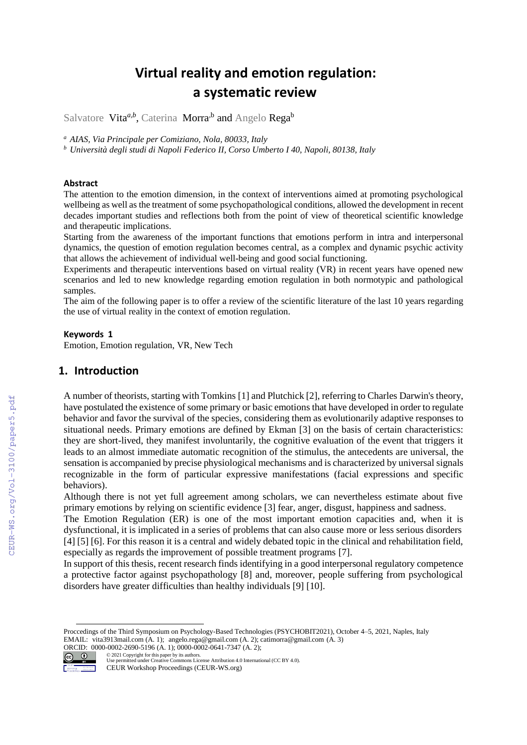# **Virtual reality and emotion regulation: a systematic review**

Salvatore Vita<sup>a,b</sup>, Caterina Morra<sup>,b</sup> and Angelo Rega<sup>b</sup>

*<sup>a</sup> AIAS, Via Principale per Comiziano, Nola, 80033, Italy*

*<sup>b</sup> Università degli studi di Napoli Federico II, Corso Umberto I 40, Napoli, 80138, Italy*

#### **Abstract**

The attention to the emotion dimension, in the context of interventions aimed at promoting psychological wellbeing as well as the treatment of some psychopathological conditions, allowed the development in recent decades important studies and reflections both from the point of view of theoretical scientific knowledge and therapeutic implications.

Starting from the awareness of the important functions that emotions perform in intra and interpersonal dynamics, the question of emotion regulation becomes central, as a complex and dynamic psychic activity that allows the achievement of individual well-being and good social functioning.

Experiments and therapeutic interventions based on virtual reality (VR) in recent years have opened new scenarios and led to new knowledge regarding emotion regulation in both normotypic and pathological samples.

The aim of the following paper is to offer a review of the scientific literature of the last 10 years regarding the use of virtual reality in the context of emotion regulation.

#### **Keywords 1**

Emotion, Emotion regulation, VR, New Tech

## **1. Introduction**

A number of theorists, starting with Tomkins [1] and Plutchick [2], referring to Charles Darwin's theory, have postulated the existence of some primary or basic emotions that have developed in order to regulate behavior and favor the survival of the species, considering them as evolutionarily adaptive responses to situational needs. Primary emotions are defined by Ekman [3] on the basis of certain characteristics: they are short-lived, they manifest involuntarily, the cognitive evaluation of the event that triggers it leads to an almost immediate automatic recognition of the stimulus, the antecedents are universal, the sensation is accompanied by precise physiological mechanisms and is characterized by universal signals recognizable in the form of particular expressive manifestations (facial expressions and specific behaviors).

Although there is not yet full agreement among scholars, we can nevertheless estimate about five primary emotions by relying on scientific evidence [3] fear, anger, disgust, happiness and sadness.

The Emotion Regulation (ER) is one of the most important emotion capacities and, when it is dysfunctional, it is implicated in a series of problems that can also cause more or less serious disorders [4] [5] [6]. For this reason it is a central and widely debated topic in the clinical and rehabilitation field, especially as regards the improvement of possible treatment programs [7].

In support of this thesis, recent research finds identifying in a good interpersonal regulatory competence a protective factor against psychopathology [8] and, moreover, people suffering from psychological disorders have greater difficulties than healthy individuals [9] [10].

Proccedings of the Third Symposium on Psychology-Based Technologies (PSYCHOBIT2021), October 4–5, 2021, Naples, Italy EMAIL[: vita3913mail.com](mailto:email1@mail.com) (A. 1)[; angelo.rega@gmail.com](mailto:email2@mail.com) (A. 2); catimorra@gmail.com (A. 3)



ORCID: 0000-0002-2690-5196 (A. 1); 0000-0002-0641-7347 (A. 2);<br> **C 0** 2021 Copyright for this paper by its authors. ©️ 2021 Copyright for this paper by its authors. Use permitted under Creative Commons License Attribution 4.0 International (CC BY 4.0). CEUR Workshop Proceedings (CEUR-WS.org)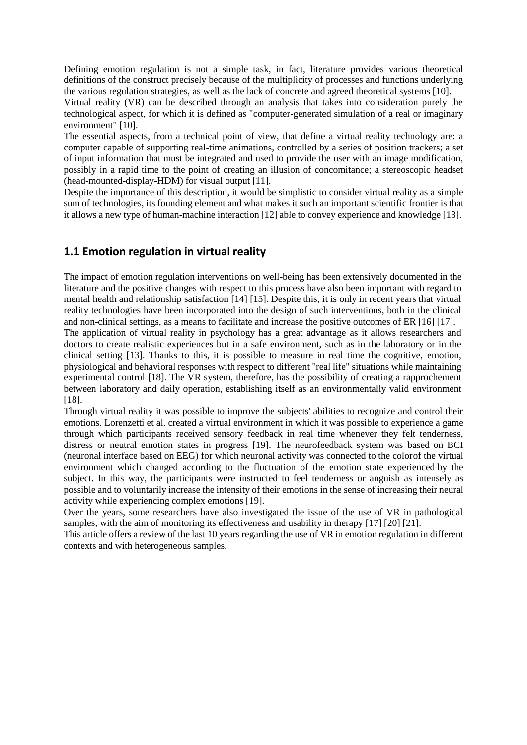Defining emotion regulation is not a simple task, in fact, literature provides various theoretical definitions of the construct precisely because of the multiplicity of processes and functions underlying the various regulation strategies, as well as the lack of concrete and agreed theoretical systems [10].

Virtual reality (VR) can be described through an analysis that takes into consideration purely the technological aspect, for which it is defined as "computer-generated simulation of a real or imaginary environment" [10].

The essential aspects, from a technical point of view, that define a virtual reality technology are: a computer capable of supporting real-time animations, controlled by a series of position trackers; a set of input information that must be integrated and used to provide the user with an image modification, possibly in a rapid time to the point of creating an illusion of concomitance; a stereoscopic headset (head-mounted-display-HDM) for visual output [11].

Despite the importance of this description, it would be simplistic to consider virtual reality as a simple sum of technologies, its founding element and what makes it such an important scientific frontier is that it allows a new type of human-machine interaction [12] able to convey experience and knowledge [13].

### **1.1 Emotion regulation in virtual reality**

The impact of emotion regulation interventions on well-being has been extensively documented in the literature and the positive changes with respect to this process have also been important with regard to mental health and relationship satisfaction [14] [15]. Despite this, it is only in recent years that virtual reality technologies have been incorporated into the design of such interventions, both in the clinical and non-clinical settings, as a means to facilitate and increase the positive outcomes of ER [16] [17]. The application of virtual reality in psychology has a great advantage as it allows researchers and

doctors to create realistic experiences but in a safe environment, such as in the laboratory or in the clinical setting [13]. Thanks to this, it is possible to measure in real time the cognitive, emotion, physiological and behavioral responses with respect to different "real life" situations while maintaining experimental control [18]. The VR system, therefore, has the possibility of creating a rapprochement between laboratory and daily operation, establishing itself as an environmentally valid environment [18].

Through virtual reality it was possible to improve the subjects' abilities to recognize and control their emotions. Lorenzetti et al. created a virtual environment in which it was possible to experience a game through which participants received sensory feedback in real time whenever they felt tenderness, distress or neutral emotion states in progress [19]. The neurofeedback system was based on BCI (neuronal interface based on EEG) for which neuronal activity was connected to the colorof the virtual environment which changed according to the fluctuation of the emotion state experienced by the subject. In this way, the participants were instructed to feel tenderness or anguish as intensely as possible and to voluntarily increase the intensity of their emotions in the sense of increasing their neural activity while experiencing complex emotions [19].

Over the years, some researchers have also investigated the issue of the use of VR in pathological samples, with the aim of monitoring its effectiveness and usability in therapy [17] [20] [21].

This article offers a review of the last 10 years regarding the use of VR in emotion regulation in different contexts and with heterogeneous samples.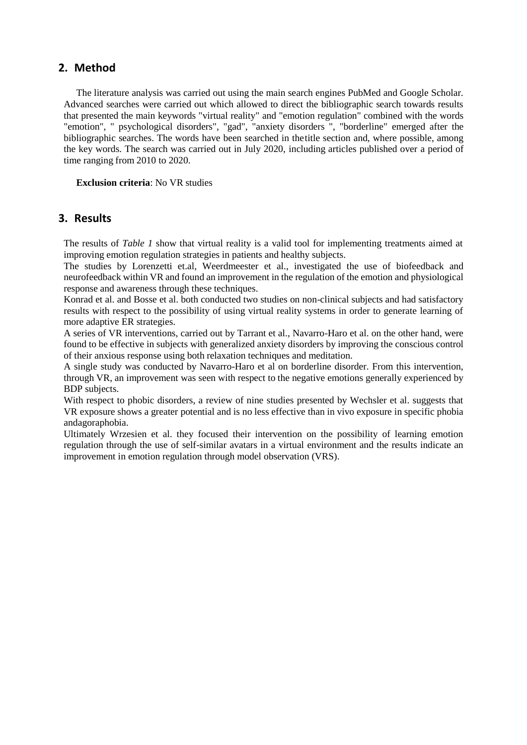#### **2. Method**

The literature analysis was carried out using the main search engines PubMed and Google Scholar. Advanced searches were carried out which allowed to direct the bibliographic search towards results that presented the main keywords "virtual reality" and "emotion regulation" combined with the words "emotion", " psychological disorders", "gad", "anxiety disorders ", "borderline" emerged after the bibliographic searches. The words have been searched in thetitle section and, where possible, among the key words. The search was carried out in July 2020, including articles published over a period of time ranging from 2010 to 2020.

**Exclusion criteria**: No VR studies

#### **3. Results**

The results of *Table 1* show that virtual reality is a valid tool for implementing treatments aimed at improving emotion regulation strategies in patients and healthy subjects.

The studies by Lorenzetti et.al, Weerdmeester et al., investigated the use of biofeedback and neurofeedback within VR and found an improvement in the regulation of the emotion and physiological response and awareness through these techniques.

Konrad et al. and Bosse et al. both conducted two studies on non-clinical subjects and had satisfactory results with respect to the possibility of using virtual reality systems in order to generate learning of more adaptive ER strategies.

A series of VR interventions, carried out by Tarrant et al., Navarro-Haro et al. on the other hand, were found to be effective in subjects with generalized anxiety disorders by improving the conscious control of their anxious response using both relaxation techniques and meditation.

A single study was conducted by Navarro-Haro et al on borderline disorder. From this intervention, through VR, an improvement was seen with respect to the negative emotions generally experienced by BDP subjects.

With respect to phobic disorders, a review of nine studies presented by Wechsler et al. suggests that VR exposure shows a greater potential and is no less effective than in vivo exposure in specific phobia andagoraphobia.

Ultimately Wrzesien et al. they focused their intervention on the possibility of learning emotion regulation through the use of self-similar avatars in a virtual environment and the results indicate an improvement in emotion regulation through model observation (VRS).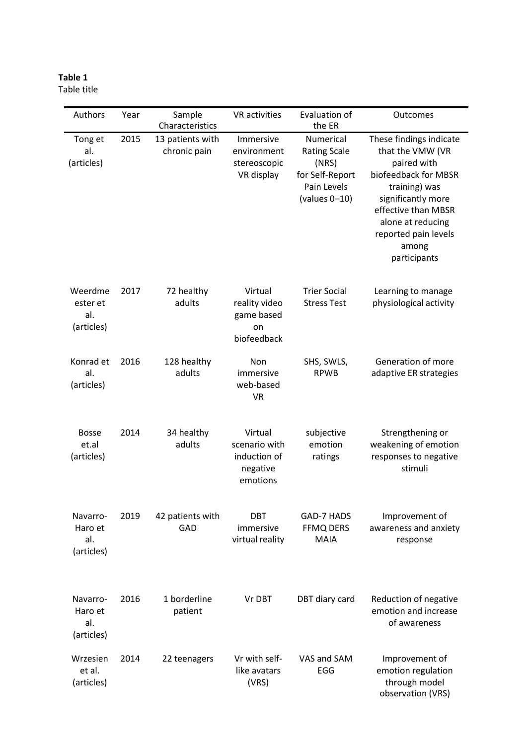**Table 1** Table title

| Authors                                  | Year | Sample<br>Characteristics        | VR activities                                                    | Evaluation of<br>the ER                                                                         | Outcomes                                                                                                                                                                                                               |
|------------------------------------------|------|----------------------------------|------------------------------------------------------------------|-------------------------------------------------------------------------------------------------|------------------------------------------------------------------------------------------------------------------------------------------------------------------------------------------------------------------------|
| Tong et<br>al.<br>(articles)             | 2015 | 13 patients with<br>chronic pain | Immersive<br>environment<br>stereoscopic<br>VR display           | Numerical<br><b>Rating Scale</b><br>(NRS)<br>for Self-Report<br>Pain Levels<br>(values $0-10$ ) | These findings indicate<br>that the VMW (VR<br>paired with<br>biofeedback for MBSR<br>training) was<br>significantly more<br>effective than MBSR<br>alone at reducing<br>reported pain levels<br>among<br>participants |
| Weerdme<br>ester et<br>al.<br>(articles) | 2017 | 72 healthy<br>adults             | Virtual<br>reality video<br>game based<br>on<br>biofeedback      | <b>Trier Social</b><br><b>Stress Test</b>                                                       | Learning to manage<br>physiological activity                                                                                                                                                                           |
| Konrad et<br>al.<br>(articles)           | 2016 | 128 healthy<br>adults            | Non<br>immersive<br>web-based<br><b>VR</b>                       | SHS, SWLS,<br><b>RPWB</b>                                                                       | Generation of more<br>adaptive ER strategies                                                                                                                                                                           |
| <b>Bosse</b><br>et.al<br>(articles)      | 2014 | 34 healthy<br>adults             | Virtual<br>scenario with<br>induction of<br>negative<br>emotions | subjective<br>emotion<br>ratings                                                                | Strengthening or<br>weakening of emotion<br>responses to negative<br>stimuli                                                                                                                                           |
| Navarro-<br>Haro et<br>al.<br>(articles) | 2019 | 42 patients with<br>GAD          | <b>DBT</b><br>immersive<br>virtual reality                       | <b>GAD-7 HADS</b><br><b>FFMQ DERS</b><br><b>MAIA</b>                                            | Improvement of<br>awareness and anxiety<br>response                                                                                                                                                                    |
| Navarro-<br>Haro et<br>al.<br>(articles) | 2016 | 1 borderline<br>patient          | Vr DBT                                                           | DBT diary card                                                                                  | Reduction of negative<br>emotion and increase<br>of awareness                                                                                                                                                          |
| Wrzesien<br>et al.<br>(articles)         | 2014 | 22 teenagers                     | Vr with self-<br>like avatars<br>(VRS)                           | VAS and SAM<br>EGG                                                                              | Improvement of<br>emotion regulation<br>through model<br>observation (VRS)                                                                                                                                             |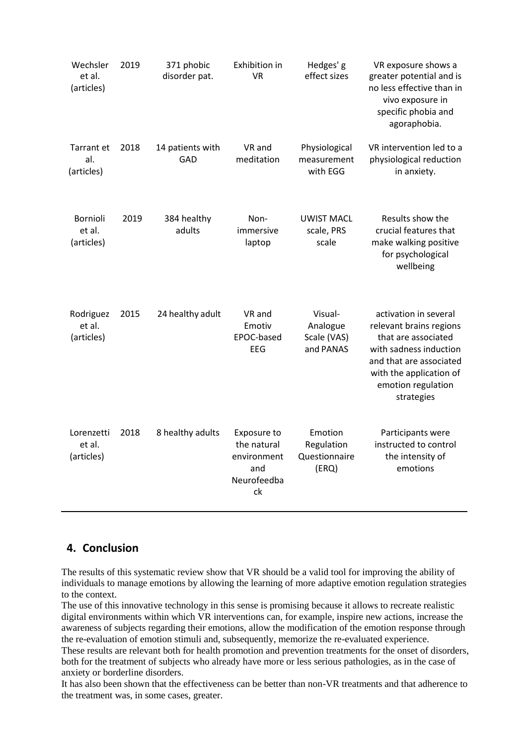| Wechsler<br>et al.<br>(articles)   | 2019 | 371 phobic<br>disorder pat. | Exhibition in<br><b>VR</b>                                            | Hedges' g<br>effect sizes                       | VR exposure shows a<br>greater potential and is<br>no less effective than in<br>vivo exposure in<br>specific phobia and<br>agoraphobia.                                                     |
|------------------------------------|------|-----------------------------|-----------------------------------------------------------------------|-------------------------------------------------|---------------------------------------------------------------------------------------------------------------------------------------------------------------------------------------------|
| Tarrant et<br>al.<br>(articles)    | 2018 | 14 patients with<br>GAD     | VR and<br>meditation                                                  | Physiological<br>measurement<br>with EGG        | VR intervention led to a<br>physiological reduction<br>in anxiety.                                                                                                                          |
| Bornioli<br>et al.<br>(articles)   | 2019 | 384 healthy<br>adults       | Non-<br>immersive<br>laptop                                           | <b>UWIST MACL</b><br>scale, PRS<br>scale        | Results show the<br>crucial features that<br>make walking positive<br>for psychological<br>wellbeing                                                                                        |
| Rodriguez<br>et al.<br>(articles)  | 2015 | 24 healthy adult            | VR and<br>Emotiv<br>EPOC-based<br>EEG                                 | Visual-<br>Analogue<br>Scale (VAS)<br>and PANAS | activation in several<br>relevant brains regions<br>that are associated<br>with sadness induction<br>and that are associated<br>with the application of<br>emotion regulation<br>strategies |
| Lorenzetti<br>et al.<br>(articles) | 2018 | 8 healthy adults            | Exposure to<br>the natural<br>environment<br>and<br>Neurofeedba<br>ck | Emotion<br>Regulation<br>Questionnaire<br>(ERQ) | Participants were<br>instructed to control<br>the intensity of<br>emotions                                                                                                                  |

## **4. Conclusion**

The results of this systematic review show that VR should be a valid tool for improving the ability of individuals to manage emotions by allowing the learning of more adaptive emotion regulation strategies to the context.

The use of this innovative technology in this sense is promising because it allows to recreate realistic digital environments within which VR interventions can, for example, inspire new actions, increase the awareness of subjects regarding their emotions, allow the modification of the emotion response through the re-evaluation of emotion stimuli and, subsequently, memorize the re-evaluated experience. These results are relevant both for health promotion and prevention treatments for the onset of disorders,

both for the treatment of subjects who already have more or less serious pathologies, as in the case of anxiety or borderline disorders.

It has also been shown that the effectiveness can be better than non-VR treatments and that adherence to the treatment was, in some cases, greater.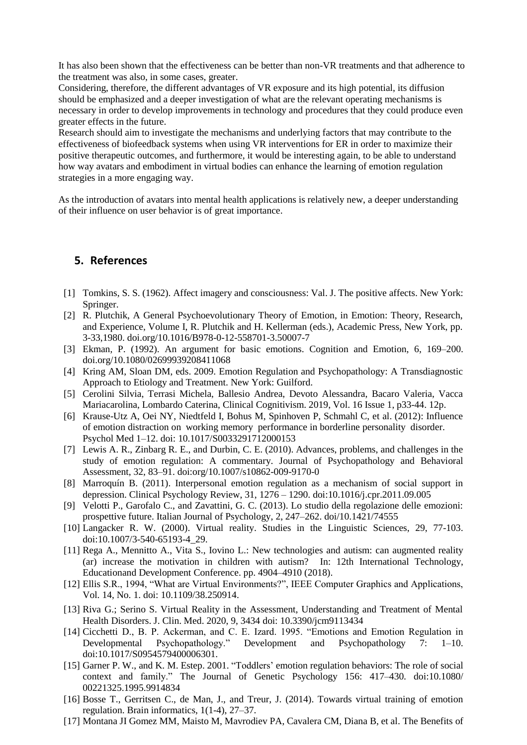It has also been shown that the effectiveness can be better than non-VR treatments and that adherence to the treatment was also, in some cases, greater.

Considering, therefore, the different advantages of VR exposure and its high potential, its diffusion should be emphasized and a deeper investigation of what are the relevant operating mechanisms is necessary in order to develop improvements in technology and procedures that they could produce even greater effects in the future.

Research should aim to investigate the mechanisms and underlying factors that may contribute to the effectiveness of biofeedback systems when using VR interventions for ER in order to maximize their positive therapeutic outcomes, and furthermore, it would be interesting again, to be able to understand how way avatars and embodiment in virtual bodies can enhance the learning of emotion regulation strategies in a more engaging way.

As the introduction of avatars into mental health applications is relatively new, a deeper understanding of their influence on user behavior is of great importance.

### **5. References**

- [1] Tomkins, S. S. (1962). Affect imagery and consciousness: Val. J. The positive affects. New York: Springer.
- [2] R. Plutchik, A General Psychoevolutionary Theory of Emotion, in Emotion: Theory, Research, and Experience, Volume I, R. Plutchik and H. Kellerman (eds.), Academic Press, New York, pp. 3-33,1980. doi.org/10.1016/B978-0-12-558701-3.50007-7
- [3] Ekman, P. (1992). An argument for basic emotions. Cognition and Emotion, 6, 169–200. doi.org/10.1080/02699939208411068
- [4] Kring AM, Sloan DM, eds. 2009. Emotion Regulation and Psychopathology: A Transdiagnostic Approach to Etiology and Treatment. New York: Guilford.
- [5] Cerolini Silvia, Terrasi Michela, Ballesio Andrea, Devoto Alessandra, Bacaro Valeria, Vacca Mariacarolina, Lombardo Caterina, Clinical Cognitivism. 2019, Vol. 16 Issue 1, p33-44. 12p.
- [6] Krause-Utz A, Oei NY, Niedtfeld I, Bohus M, Spinhoven P, Schmahl C, et al. (2012): Influence of emotion distraction on working memory performance in borderline personality disorder. Psychol Med 1–12. doi: 10.1017/S0033291712000153
- [7] Lewis A. R., Zinbarg R. E., and Durbin, C. E. (2010). Advances, problems, and challenges in the study of emotion regulation: A commentary. Journal of Psychopathology and Behavioral Assessment, 32, 83–91. doi:org/10.1007/s10862-009-9170-0
- [8] Marroquín B. (2011). Interpersonal emotion regulation as a mechanism of social support in depression. Clinical Psychology Review, 31, 1276 – 1290. doi:10.1016/j.cpr.2011.09.005
- [9] Velotti P., Garofalo C., and Zavattini, G. C. (2013). Lo studio della regolazione delle emozioni: prospettive future. Italian Journal of Psychology, 2, 247–262. doi/10.1421/74555
- [10] Langacker R. W. (2000). Virtual reality. Studies in the Linguistic Sciences, 29, 77-103. doi:10.1007/3-540-65193-4\_29.
- [11] Rega A., Mennitto A., Vita S., Iovino L.: New technologies and autism: can augmented reality (ar) increase the motivation in children with autism? In: 12th International Technology, Educationand Development Conference. pp. 4904–4910 (2018).
- [12] Ellis S.R., 1994, "What are Virtual Environments?", IEEE Computer Graphics and Applications, Vol. 14, No. 1. doi: 10.1109/38.250914.
- [13] Riva G.; Serino S. Virtual Reality in the Assessment, Understanding and Treatment of Mental Health Disorders. J. Clin. Med. 2020, 9, 3434 doi: 10.3390/jcm9113434
- [14] Cicchetti D., B. P. Ackerman, and C. E. Izard. 1995. "Emotions and Emotion Regulation in Developmental Psychopathology." Development and Psychopathology 7: 1–10. doi:10.1017/S0954579400006301.
- [15] Garner P. W., and K. M. Estep. 2001. "Toddlers' emotion regulation behaviors: The role of social context and family." The Journal of Genetic Psychology 156: 417–430. doi:10.1080/ 00221325.1995.9914834
- [16] Bosse T., Gerritsen C., de Man, J., and Treur, J. (2014). Towards virtual training of emotion regulation. Brain informatics, 1(1-4), 27–37.
- [17] Montana JI Gomez MM, Maisto M, Mavrodiev PA, Cavalera CM, Diana B, et al. The Benefits of